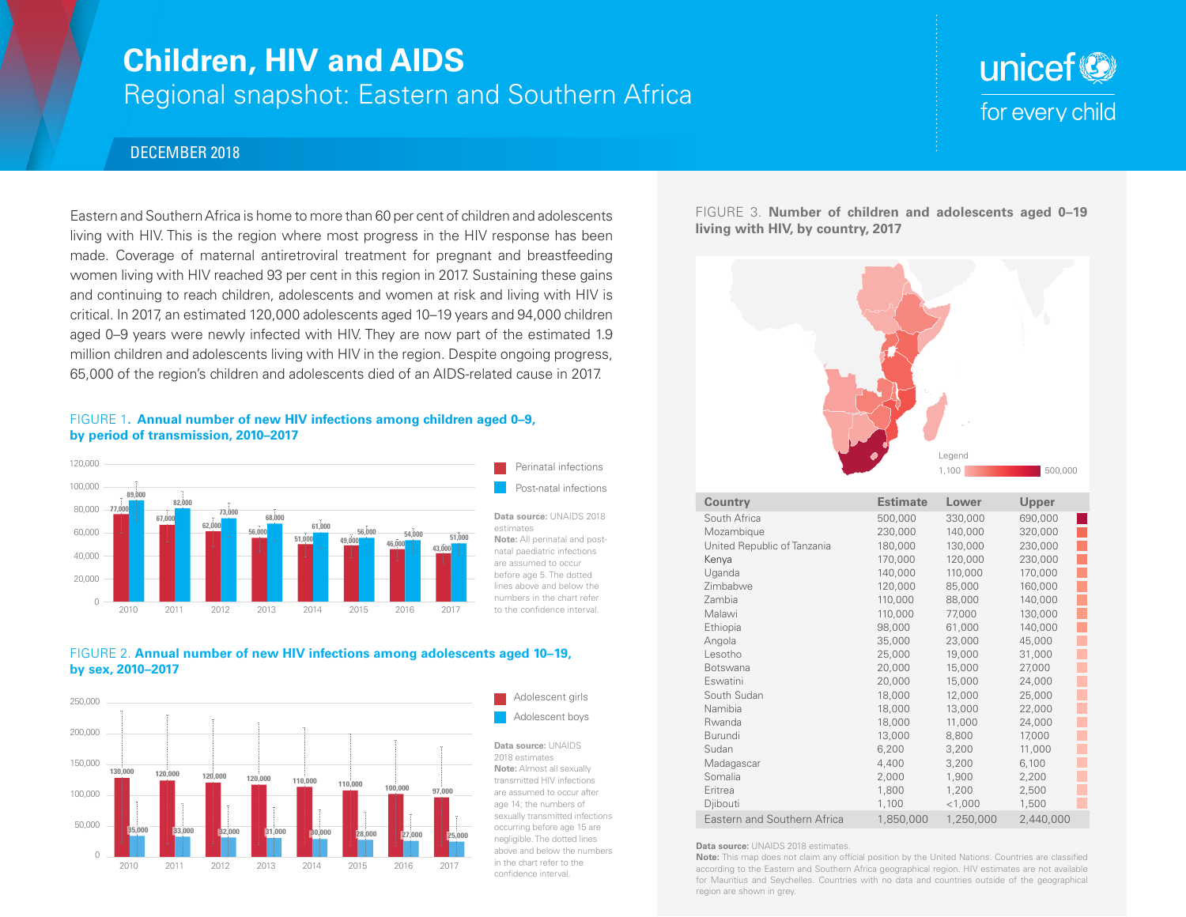## **Children, HIV and AIDS**

### Regional snapshot: Eastern and Southern Africa

# unicef<sup>®</sup> for every child

#### DECEMBER 2018

Eastern and Southern Africa is home to more than 60 per cent of children and adolescents living with HIV. This is the region where most progress in the HIV response has been made. Coverage of maternal antiretroviral treatment for pregnant and breastfeeding women living with HIV reached 93 per cent in this region in 2017. Sustaining these gains and continuing to reach children, adolescents and women at risk and living with HIV is critical. In 2017, an estimated 120,000 adolescents aged 10–19 years and 94,000 children aged 0–9 years were newly infected with HIV. They are now part of the estimated 1.9 million children and adolescents living with HIV in the region. Despite ongoing progress, 65,000 of the region's children and adolescents died of an AIDS-related cause in 2017.

#### FIGURE 1**. Annual number of new HIV infections among children aged 0–9, by period of transmission, 2010–2017**



#### FIGURE 2. **Annual number of new HIV infections among adolescents aged 10–19, by sex, 2010–2017**



FIGURE 3. **Number of children and adolescents aged 0–19 living with HIV, by country, 2017**



| <b>Country</b>              | <b>Estimate</b> | Lower     | Upper     |
|-----------------------------|-----------------|-----------|-----------|
| South Africa                | 500,000         | 330,000   | 690,000   |
| Mozambique                  | 230,000         | 140,000   | 320,000   |
| United Republic of Tanzania | 180,000         | 130,000   | 230,000   |
| Kenya                       | 170,000         | 120,000   | 230,000   |
| Uganda                      | 140,000         | 110,000   | 170,000   |
| Zimbabwe                    | 120,000         | 85,000    | 160,000   |
| Zambia                      | 110,000         | 88,000    | 140,000   |
| Malawi                      | 110,000         | 77,000    | 130,000   |
| Ethiopia                    | 98,000          | 61,000    | 140,000   |
| Angola                      | 35,000          | 23,000    | 45,000    |
| Lesotho                     | 25,000          | 19,000    | 31,000    |
| Botswana                    | 20,000          | 15,000    | 27,000    |
| Eswatini                    | 20,000          | 15,000    | 24,000    |
| South Sudan                 | 18,000          | 12,000    | 25,000    |
| Namibia                     | 18,000          | 13,000    | 22,000    |
| Rwanda                      | 18,000          | 11,000    | 24,000    |
| <b>Burundi</b>              | 13,000          | 8,800     | 17,000    |
| Sudan                       | 6,200           | 3,200     | 11,000    |
| Madagascar                  | 4,400           | 3,200     | 6,100     |
| Somalia                     | 2,000           | 1,900     | 2,200     |
| Eritrea                     | 1,800           | 1,200     | 2,500     |
| Djibouti                    | 1,100           | $<$ 1,000 | 1,500     |
| Eastern and Southern Africa | 1,850,000       | 1,250,000 | 2,440,000 |

**Data source:** UNAIDS 2018 estimates.

**Note:** This map does not claim any official position by the United Nations. Countries are classified according to the Eastern and Southern Africa geographical region. HIV estimates are not available for Mauritius and Seychelles. Countries with no data and countries outside of the geographical region are shown in grey.